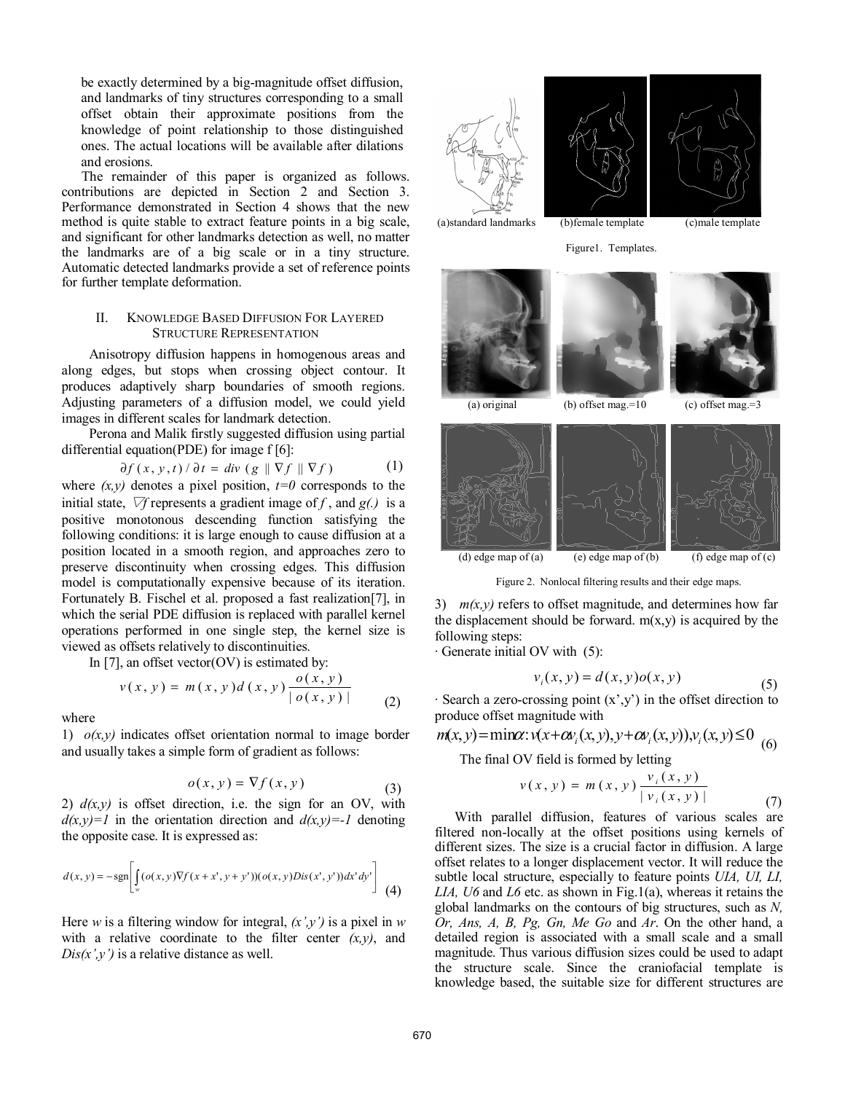be exactly determined by a big-magnitude offset diffusion, and landmarks of tiny structures corresponding to a small offset obtain their approximate positions from the knowledge of point relationship to those distinguished ones. The actual locations will be available after dilations and erosions.

The remainder of this paper is organized as follows. contributions are depicted in Section 2 and Section 3. Performance demonstrated in Section 4 shows that the new method is quite stable to extract feature points in a big scale, and significant for other landmarks detection as well, no matter the landmarks are of a big scale or in a tiny structure. Automatic detected landmarks provide a set of reference points for further template deformation.

# II. KNOWLEDGE BASED DIFFUSION FOR LAYERED STRUCTURE REPRESENTATION

Anisotropy diffusion happens in homogenous areas and along edges, but stops when crossing object contour. It produces adaptively sharp boundaries of smooth regions. Adjusting parameters of a diffusion model, we could yield images in different scales for landmark detection.

Perona and Malik firstly suggested diffusion using partial differential equation(PDE) for image f [6]:

$$
\partial f(x, y, t) / \partial t = div (g \parallel \nabla f \parallel \nabla f)
$$
 (1)

where  $(x, y)$  denotes a pixel position,  $t=0$  corresponds to the initial state,  $\nabla f$  represents a gradient image of f, and  $g(.)$  is a positive monotonous descending function satisfying the following conditions: it is large enough to cause diffusion at a position located in a smooth region, and approaches zero to preserve discontinuity when crossing edges. This diffusion model is computationally expensive because of its iteration. Fortunately B. Fischel et al. proposed a fast realization[7], in which the serial PDE diffusion is replaced with parallel kernel operations performed in one single step, the kernel size is viewed as offsets relatively to discontinuities.

In [7], an offset vector( $\overline{OV}$ ) is estimated by:

$$
v(x, y) = m(x, y) d(x, y) \frac{o(x, y)}{|o(x, y)|}
$$
 (2)

where

1) *o(x,y)* indicates offset orientation normal to image border and usually takes a simple form of gradient as follows:

$$
o(x, y) = \nabla f(x, y)
$$
 (3)

2)  $d(x, y)$  is offset direction, i.e. the sign for an OV, with  $d(x,y)=1$  in the orientation direction and  $d(x,y)=-1$  denoting the opposite case. It is expressed as:

$$
d(x,y) = -\text{sgn}\left[\int_{w} (\text{o}(x,y)\nabla f(x+x',y+y'))(\text{o}(x,y)Dis(x',y'))dx'dy'\right] \tag{4}
$$

Here *w* is a filtering window for integral, *(x',y')* is a pixel in *w* with a relative coordinate to the filter center  $(x, y)$ , and  $Dis(x', y')$  is a relative distance as well.













Figure 2. Nonlocal filtering results and their edge maps.

3)  $m(x, y)$  refers to offset magnitude, and determines how far the displacement should be forward.  $m(x,y)$  is acquired by the following steps:

· Generate initial OV with (5):

$$
v_i(x, y) = d(x, y) o(x, y) \tag{5}
$$

 $\cdot$  Search a zero-crossing point  $(x',y')$  in the offset direction to produce offset magnitude with

 $m(x, y) = \min \alpha : v(x + \alpha v_i(x, y), y + \alpha v_i(x, y))$ , $v_i(x, y) \le 0$ 

The final OV field is formed by letting

$$
v(x, y) = m(x, y) \frac{v_i(x, y)}{|v_i(x, y)|}
$$
(7)

With parallel diffusion, features of various scales are filtered non-locally at the offset positions using kernels of different sizes. The size is a crucial factor in diffusion. A large offset relates to a longer displacement vector. It will reduce the subtle local structure, especially to feature points *UIA, UI, LI, LIA, U6* and *L6* etc. as shown in Fig.1(a), whereas it retains the global landmarks on the contours of big structures, such as *N, Or, Ans, A, B, Pg, Gn, Me Go* and *Ar*. On the other hand, a detailed region is associated with a small scale and a small magnitude. Thus various diffusion sizes could be used to adapt the structure scale. Since the craniofacial template is knowledge based, the suitable size for different structures are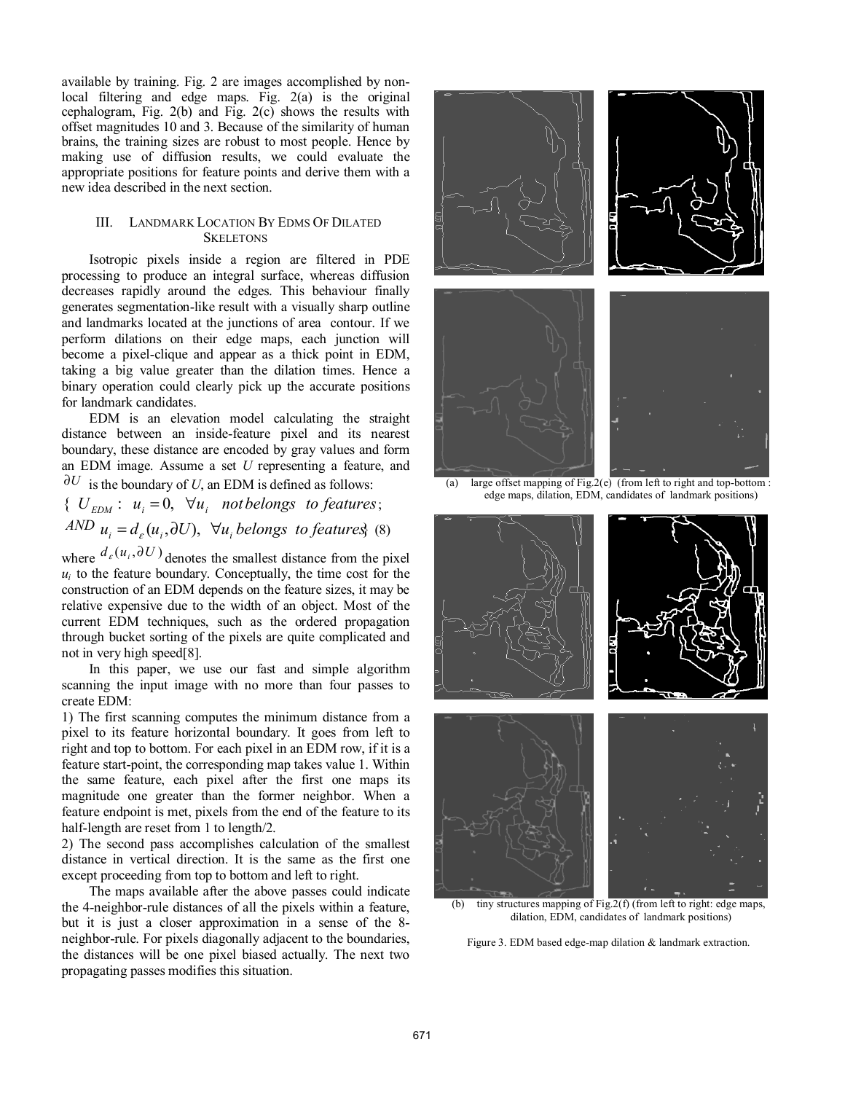available by training. Fig. 2 are images accomplished by nonlocal filtering and edge maps. Fig. 2(a) is the original cephalogram, Fig. 2(b) and Fig. 2(c) shows the results with offset magnitudes 10 and 3. Because of the similarity of human brains, the training sizes are robust to most people. Hence by making use of diffusion results, we could evaluate the appropriate positions for feature points and derive them with a new idea described in the next section.

## III. LANDMARK LOCATION BY EDMS OF DILATED **SKELETONS**

Isotropic pixels inside a region are filtered in PDE processing to produce an integral surface, whereas diffusion decreases rapidly around the edges. This behaviour finally generates segmentation-like result with a visually sharp outline and landmarks located at the junctions of area contour. If we perform dilations on their edge maps, each junction will become a pixel-clique and appear as a thick point in EDM, taking a big value greater than the dilation times. Hence a binary operation could clearly pick up the accurate positions for landmark candidates.

EDM is an elevation model calculating the straight distance between an inside-feature pixel and its nearest boundary, these distance are encoded by gray values and form an EDM image. Assume a set *U* representing a feature, and  $\partial U$  is the boundary of *U*, an EDM is defined as follows:

{  $U_{EDM}$  :  $u_i = 0$ ,  $\forall u_i$  *not belongs to features*; *AND*  $u_i = d_e(u_i, \partial U)$ ,  $\forall u_i$  *belongs to features*} (8)

where  $d_e(u_i, \partial U)$  denotes the smallest distance from the pixel  $u_i$  to the feature boundary. Conceptually, the time cost for the construction of an EDM depends on the feature sizes, it may be relative expensive due to the width of an object. Most of the current EDM techniques, such as the ordered propagation through bucket sorting of the pixels are quite complicated and not in very high speed[8].

In this paper, we use our fast and simple algorithm scanning the input image with no more than four passes to create EDM:

1) The first scanning computes the minimum distance from a pixel to its feature horizontal boundary. It goes from left to right and top to bottom. For each pixel in an EDM row, if it is a feature start-point, the corresponding map takes value 1. Within the same feature, each pixel after the first one maps its magnitude one greater than the former neighbor. When a feature endpoint is met, pixels from the end of the feature to its half-length are reset from 1 to length/2.

2) The second pass accomplishes calculation of the smallest distance in vertical direction. It is the same as the first one except proceeding from top to bottom and left to right.

The maps available after the above passes could indicate the 4-neighbor-rule distances of all the pixels within a feature, but it is just a closer approximation in a sense of the 8 neighbor-rule. For pixels diagonally adjacent to the boundaries, the distances will be one pixel biased actually. The next two propagating passes modifies this situation.



(a) large offset mapping  $\overline{of Fig.2(e)}$  (from left to right and top-bottom : edge maps, dilation, EDM, candidates of landmark positions)



(b) tiny structures mapping of Fig.  $2(f)$  (from left to right: edge maps, dilation, EDM, candidates of landmark positions)

Figure 3. EDM based edge-map dilation & landmark extraction.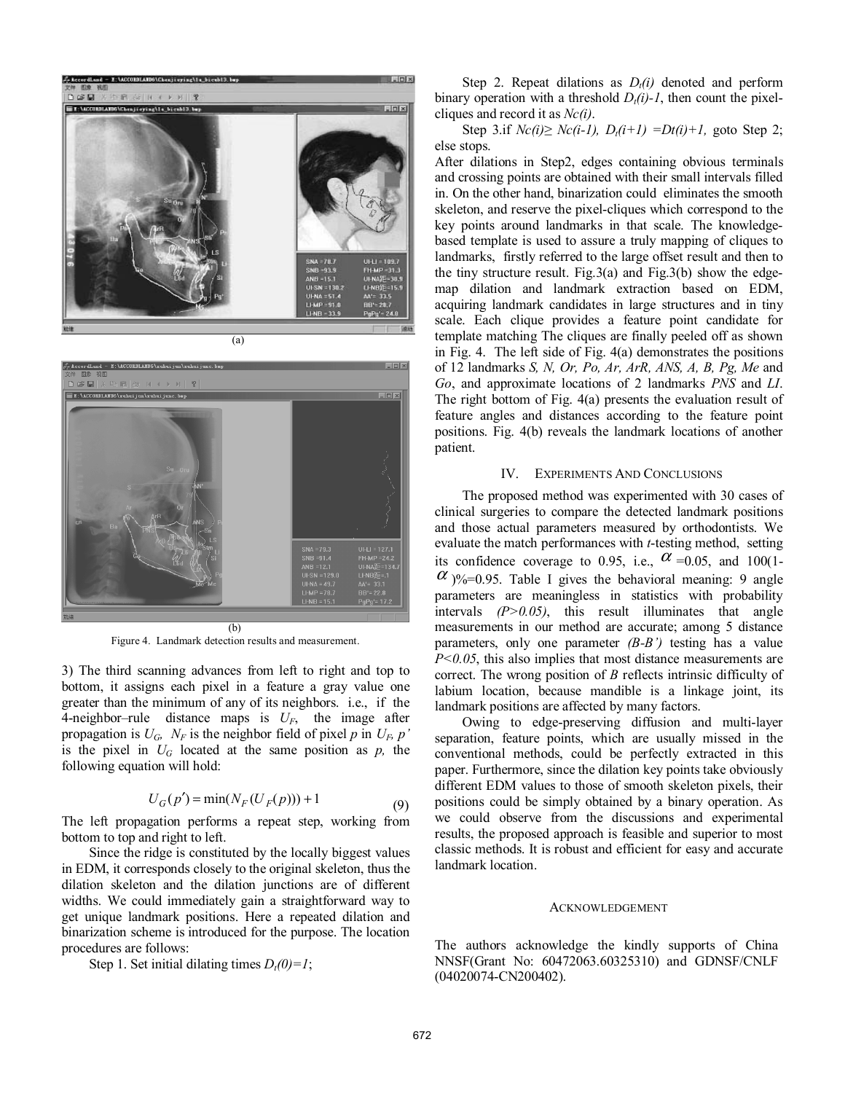



(b) Figure 4. Landmark detection results and measurement.

3) The third scanning advances from left to right and top to bottom, it assigns each pixel in a feature a gray value one greater than the minimum of any of its neighbors. i.e., if the 4-neighbor–rule distance maps is *UF*, the image after propagation is  $U_G$ ,  $N_F$  is the neighbor field of pixel p in  $U_F$ , p' is the pixel in  $U_G$  located at the same position as  $p$ , the following equation will hold:

$$
U_G(p') = \min(N_F(U_F(p))) + 1
$$
\n(9)

The left propagation performs a repeat step, working from bottom to top and right to left.

Since the ridge is constituted by the locally biggest values in EDM, it corresponds closely to the original skeleton, thus the dilation skeleton and the dilation junctions are of different widths. We could immediately gain a straightforward way to get unique landmark positions. Here a repeated dilation and binarization scheme is introduced for the purpose. The location procedures are follows:

Step 1. Set initial dilating times  $D_t(0)=1$ ;

Step 2. Repeat dilations as  $D_t(i)$  denoted and perform binary operation with a threshold  $D_i(i)$ -1, then count the pixelcliques and record it as *Nc(i)*.

Step 3.if  $Nc(i) \ge Nc(i-1)$ ,  $D_i(i+1) = Dt(i)+1$ , goto Step 2; else stops.

After dilations in Step2, edges containing obvious terminals and crossing points are obtained with their small intervals filled in. On the other hand, binarization could eliminates the smooth skeleton, and reserve the pixel-cliques which correspond to the key points around landmarks in that scale. The knowledgebased template is used to assure a truly mapping of cliques to landmarks, firstly referred to the large offset result and then to the tiny structure result. Fig.3(a) and Fig.3(b) show the edgemap dilation and landmark extraction based on EDM, acquiring landmark candidates in large structures and in tiny scale. Each clique provides a feature point candidate for template matching The cliques are finally peeled off as shown in Fig. 4. The left side of Fig. 4(a) demonstrates the positions of 12 landmarks *S, N, Or, Po, Ar, ArR, ANS, A, B, Pg, Me* and *Go*, and approximate locations of 2 landmarks *PNS* and *LI*. The right bottom of Fig. 4(a) presents the evaluation result of feature angles and distances according to the feature point positions. Fig. 4(b) reveals the landmark locations of another patient.

#### IV. EXPERIMENTS AND CONCLUSIONS

The proposed method was experimented with 30 cases of clinical surgeries to compare the detected landmark positions and those actual parameters measured by orthodontists. We evaluate the match performances with *t*-testing method, setting its confidence coverage to 0.95, i.e.,  $\alpha$  =0.05, and 100(1- $\alpha$  )%=0.95. Table I gives the behavioral meaning: 9 angle parameters are meaningless in statistics with probability intervals *(P>0.05)*, this result illuminates that angle measurements in our method are accurate; among 5 distance parameters, only one parameter *(B-B')* testing has a value *P*<0.05, this also implies that most distance measurements are correct. The wrong position of *B* reflects intrinsic difficulty of labium location, because mandible is a linkage joint, its landmark positions are affected by many factors.

Owing to edge-preserving diffusion and multi-layer separation, feature points, which are usually missed in the conventional methods, could be perfectly extracted in this paper. Furthermore, since the dilation key points take obviously different EDM values to those of smooth skeleton pixels, their positions could be simply obtained by a binary operation. As we could observe from the discussions and experimental results, the proposed approach is feasible and superior to most classic methods. It is robust and efficient for easy and accurate landmark location.

#### ACKNOWLEDGEMENT

The authors acknowledge the kindly supports of China NNSF(Grant No: 60472063.60325310) and GDNSF/CNLF (04020074-CN200402).